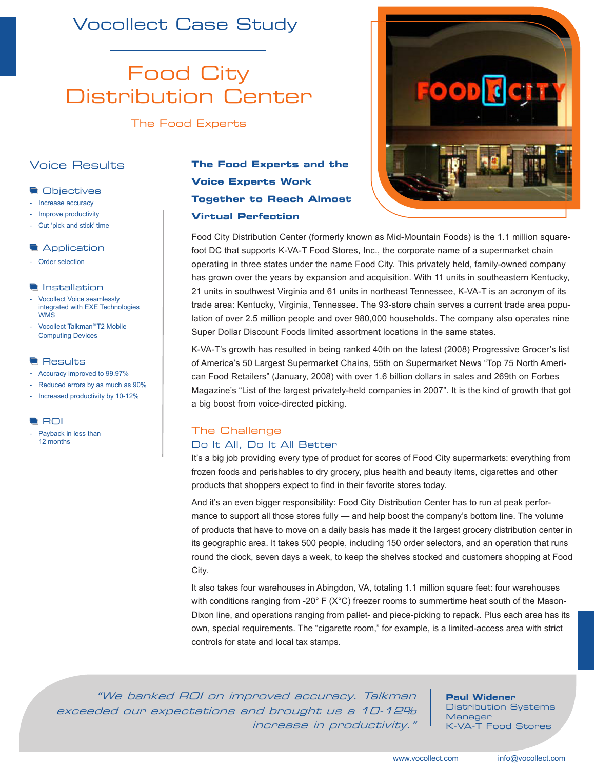## Vocollect Case Study

## Food City Distribution Center

The Food Experts

## Voice Results

## **Objectives**

- Increase accuracy
- Improve productivity
- Cut 'pick and stick' time

## **Application**

- Order selection

## **Installation**

- Vocollect Voice seamlessly integrated with EXE Technologies WMS
- Vocollect Talkman*®* T2 Mobile Computing Devices

#### **Results**

- Accuracy improved to 99.97%
- Reduced errors by as much as 90%
- Increased productivity by 10-12%

#### **ROI**

Payback in less than 12 months

## **The Food Experts and the Voice Experts Work Together to Reach Almost Virtual Perfection**



Food City Distribution Center (formerly known as Mid-Mountain Foods) is the 1.1 million squarefoot DC that supports K-VA-T Food Stores, Inc., the corporate name of a supermarket chain operating in three states under the name Food City. This privately held, family-owned company has grown over the years by expansion and acquisition. With 11 units in southeastern Kentucky, 21 units in southwest Virginia and 61 units in northeast Tennessee, K-VA-T is an acronym of its trade area: Kentucky, Virginia, Tennessee. The 93-store chain serves a current trade area population of over 2.5 million people and over 980,000 households. The company also operates nine Super Dollar Discount Foods limited assortment locations in the same states.

K-VA-T's growth has resulted in being ranked 40th on the latest (2008) Progressive Grocer's list of America's 50 Largest Supermarket Chains, 55th on Supermarket News "Top 75 North American Food Retailers" (January, 2008) with over 1.6 billion dollars in sales and 269th on Forbes Magazine's "List of the largest privately-held companies in 2007". It is the kind of growth that got a big boost from voice-directed picking.

## The Challenge

## Do It All, Do It All Better

It's a big job providing every type of product for scores of Food City supermarkets: everything from frozen foods and perishables to dry grocery, plus health and beauty items, cigarettes and other products that shoppers expect to find in their favorite stores today.

And it's an even bigger responsibility: Food City Distribution Center has to run at peak performance to support all those stores fully — and help boost the company's bottom line. The volume of products that have to move on a daily basis has made it the largest grocery distribution center in its geographic area. It takes 500 people, including 150 order selectors, and an operation that runs round the clock, seven days a week, to keep the shelves stocked and customers shopping at Food City.

It also takes four warehouses in Abingdon, VA, totaling 1.1 million square feet: four warehouses with conditions ranging from -20 $^{\circ}$  F (X $^{\circ}$ C) freezer rooms to summertime heat south of the Mason-Dixon line, and operations ranging from pallet- and piece-picking to repack. Plus each area has its own, special requirements. The "cigarette room," for example, is a limited-access area with strict controls for state and local tax stamps.

"We banked ROI on improved accuracy. Talkman exceeded our expectations and brought us a 10-12% increase in productivity."

**Paul Widener**

Distribution Systems Manager K-VA-T Food Stores